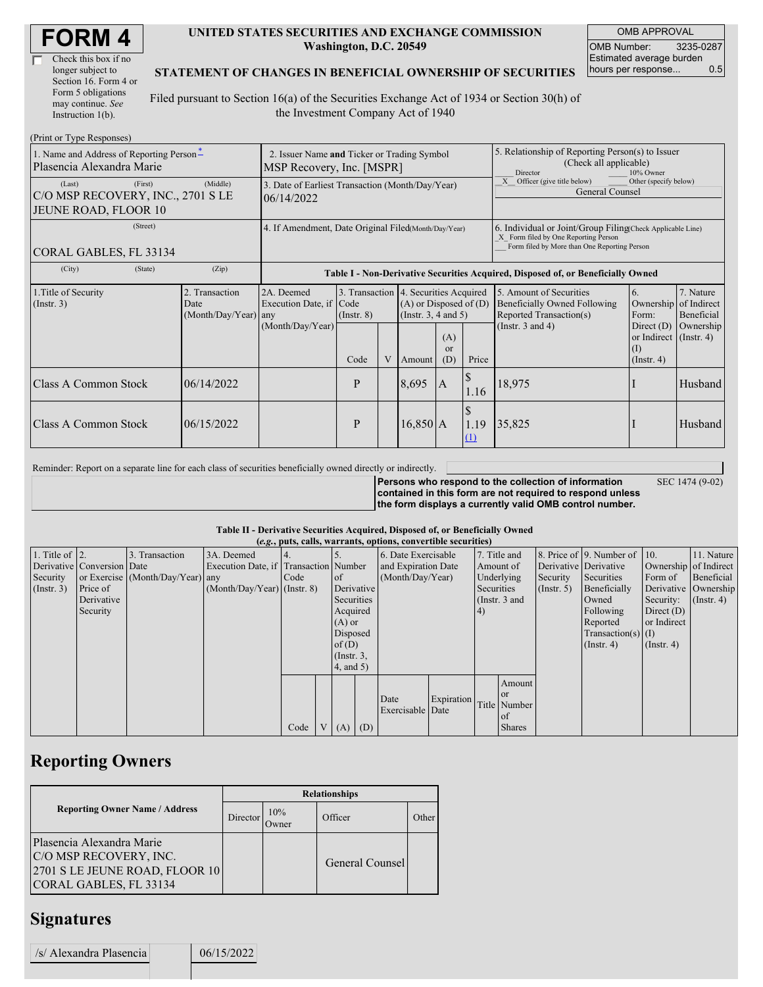| <b>FORM4</b> |
|--------------|
|--------------|

| Check this box if no  |
|-----------------------|
| longer subject to     |
| Section 16. Form 4 or |
| Form 5 obligations    |
| may continue. See     |
| Instruction 1(b).     |

#### **UNITED STATES SECURITIES AND EXCHANGE COMMISSION Washington, D.C. 20549**

OMB APPROVAL OMB Number: 3235-0287 Estimated average burden hours per response... 0.5

SEC 1474 (9-02)

#### **STATEMENT OF CHANGES IN BENEFICIAL OWNERSHIP OF SECURITIES**

Filed pursuant to Section 16(a) of the Securities Exchange Act of 1934 or Section 30(h) of the Investment Company Act of 1940

| (Print or Type Responses)                                                             |                                                                          |                                                                                  |                         |   |                                                                                                                                     |                                                               |                                                                                                                                                    |                                                                                                             |                                                                                                |                                                     |
|---------------------------------------------------------------------------------------|--------------------------------------------------------------------------|----------------------------------------------------------------------------------|-------------------------|---|-------------------------------------------------------------------------------------------------------------------------------------|---------------------------------------------------------------|----------------------------------------------------------------------------------------------------------------------------------------------------|-------------------------------------------------------------------------------------------------------------|------------------------------------------------------------------------------------------------|-----------------------------------------------------|
| 1. Name and Address of Reporting Person-<br>Plasencia Alexandra Marie                 | 2. Issuer Name and Ticker or Trading Symbol<br>MSP Recovery, Inc. [MSPR] |                                                                                  |                         |   |                                                                                                                                     |                                                               | 5. Relationship of Reporting Person(s) to Issuer<br>(Check all applicable)<br>Director<br>10% Owner                                                |                                                                                                             |                                                                                                |                                                     |
| (First)<br>(Last)<br>C/O MSP RECOVERY, INC., 2701 S LE<br><b>JEUNE ROAD, FLOOR 10</b> | 3. Date of Earliest Transaction (Month/Day/Year)<br>06/14/2022           |                                                                                  |                         |   |                                                                                                                                     | Officer (give title below)<br>$\mathbf{x}$<br>General Counsel | Other (specify below)                                                                                                                              |                                                                                                             |                                                                                                |                                                     |
| (Street)<br>CORAL GABLES, FL 33134                                                    | 4. If Amendment, Date Original Filed(Month/Day/Year)                     |                                                                                  |                         |   |                                                                                                                                     |                                                               | 6. Individual or Joint/Group Filing Check Applicable Line)<br>X Form filed by One Reporting Person<br>Form filed by More than One Reporting Person |                                                                                                             |                                                                                                |                                                     |
| (State)<br>(City)                                                                     | (Zip)                                                                    | Table I - Non-Derivative Securities Acquired, Disposed of, or Beneficially Owned |                         |   |                                                                                                                                     |                                                               |                                                                                                                                                    |                                                                                                             |                                                                                                |                                                     |
| 1. Title of Security<br>$($ Instr. 3 $)$                                              | 2. Transaction<br>Date<br>(Month/Day/Year) any                           | 2A. Deemed<br>Execution Date, if Code<br>(Month/Day/Year)                        | $($ Instr. $8)$<br>Code | V | 3. Transaction 4. Securities Acquired<br>$(A)$ or Disposed of $(D)$<br>(Instr. $3, 4$ and $5$ )<br>(A)<br>$\alpha$<br>(D)<br>Amount |                                                               | Price                                                                                                                                              | 5. Amount of Securities<br>Beneficially Owned Following<br>Reported Transaction(s)<br>(Instr. $3$ and $4$ ) | 6.<br>Ownership<br>Form:<br>Direct $(D)$<br>or Indirect $($ Instr. 4 $)$<br>(I)<br>(Insert, 4) | 7. Nature<br>of Indirect<br>Beneficial<br>Ownership |
| Class A Common Stock                                                                  | 06/14/2022                                                               |                                                                                  | P                       |   | 8,695                                                                                                                               | IA.                                                           | 1.16                                                                                                                                               | 18,975                                                                                                      |                                                                                                | Husband                                             |
| <b>Class A Common Stock</b>                                                           | 06/15/2022                                                               |                                                                                  | P                       |   | $16,850$ A                                                                                                                          |                                                               | 1.19<br>(1)                                                                                                                                        | 35,825                                                                                                      |                                                                                                | Husband                                             |

Reminder: Report on a separate line for each class of securities beneficially owned directly or indirectly.

**Persons who respond to the collection of information contained in this form are not required to respond unless the form displays a currently valid OMB control number.**

**Table II - Derivative Securities Acquired, Disposed of, or Beneficially Owned**

| (e.g., puts, calls, warrants, options, convertible securities) |                            |                                  |                                       |      |  |                 |  |                          |            |              |                 |             |                              |                  |                      |  |  |                       |                       |  |
|----------------------------------------------------------------|----------------------------|----------------------------------|---------------------------------------|------|--|-----------------|--|--------------------------|------------|--------------|-----------------|-------------|------------------------------|------------------|----------------------|--|--|-----------------------|-----------------------|--|
| 1. Title of $\vert$ 2.                                         |                            | 3. Transaction                   | 3A. Deemed                            |      |  |                 |  | 6. Date Exercisable      |            | 7. Title and |                 |             | 8. Price of 9. Number of 10. |                  | 11. Nature           |  |  |                       |                       |  |
|                                                                | Derivative Conversion Date |                                  | Execution Date, if Transaction Number |      |  |                 |  | and Expiration Date      |            |              |                 |             |                              | Amount of        |                      |  |  | Derivative Derivative | Ownership of Indirect |  |
| Security                                                       |                            | or Exercise (Month/Day/Year) any |                                       | Code |  | $\circ$ f       |  | (Month/Day/Year)         |            | Underlying   |                 | Security    | Securities                   | Form of          | Beneficial           |  |  |                       |                       |  |
| $($ Instr. 3 $)$                                               | Price of                   |                                  | $(Month/Day/Year)$ (Instr. 8)         |      |  | Derivative      |  |                          |            | Securities   |                 | (Insert, 5) | Beneficially                 |                  | Derivative Ownership |  |  |                       |                       |  |
|                                                                | Derivative                 |                                  |                                       |      |  | Securities      |  |                          |            |              | (Instr. $3$ and |             | Owned                        | Security:        | $($ Instr. 4)        |  |  |                       |                       |  |
|                                                                | Security                   |                                  |                                       |      |  | Acquired        |  |                          |            | 4)           |                 |             | Following                    | Direct $(D)$     |                      |  |  |                       |                       |  |
|                                                                |                            |                                  |                                       |      |  | $(A)$ or        |  |                          |            |              |                 |             | Reported                     | or Indirect      |                      |  |  |                       |                       |  |
|                                                                |                            |                                  |                                       |      |  | Disposed        |  |                          |            |              |                 |             | $Transaction(s)$ (I)         |                  |                      |  |  |                       |                       |  |
|                                                                |                            |                                  |                                       |      |  | of(D)           |  |                          |            |              |                 |             | $($ Instr. 4 $)$             | $($ Instr. 4 $)$ |                      |  |  |                       |                       |  |
|                                                                |                            |                                  |                                       |      |  | $($ Instr. $3,$ |  |                          |            |              |                 |             |                              |                  |                      |  |  |                       |                       |  |
|                                                                |                            |                                  |                                       |      |  | 4, and 5)       |  |                          |            |              |                 |             |                              |                  |                      |  |  |                       |                       |  |
|                                                                |                            |                                  |                                       |      |  |                 |  |                          |            |              | Amount          |             |                              |                  |                      |  |  |                       |                       |  |
|                                                                |                            |                                  |                                       |      |  |                 |  |                          |            |              | <sub>or</sub>   |             |                              |                  |                      |  |  |                       |                       |  |
|                                                                |                            |                                  |                                       |      |  |                 |  | Date<br>Exercisable Date | Expiration |              | Title Number    |             |                              |                  |                      |  |  |                       |                       |  |
|                                                                |                            |                                  |                                       |      |  |                 |  |                          |            |              | of of           |             |                              |                  |                      |  |  |                       |                       |  |
|                                                                |                            |                                  |                                       | Code |  | $(A)$ $(D)$     |  |                          |            |              | <b>Shares</b>   |             |                              |                  |                      |  |  |                       |                       |  |

## **Reporting Owners**

|                                                                                                                 | <b>Relationships</b> |               |                 |       |  |  |  |  |
|-----------------------------------------------------------------------------------------------------------------|----------------------|---------------|-----------------|-------|--|--|--|--|
| <b>Reporting Owner Name / Address</b>                                                                           | Director             | 10%<br>()wner | Officer         | Other |  |  |  |  |
| Plasencia Alexandra Marie<br>C/O MSP RECOVERY, INC.<br>2701 S LE JEUNE ROAD, FLOOR 10<br>CORAL GABLES, FL 33134 |                      |               | General Counsel |       |  |  |  |  |

### **Signatures**

| /s/ Alexandra Plasencial | 06/15/2022 |
|--------------------------|------------|
|                          |            |